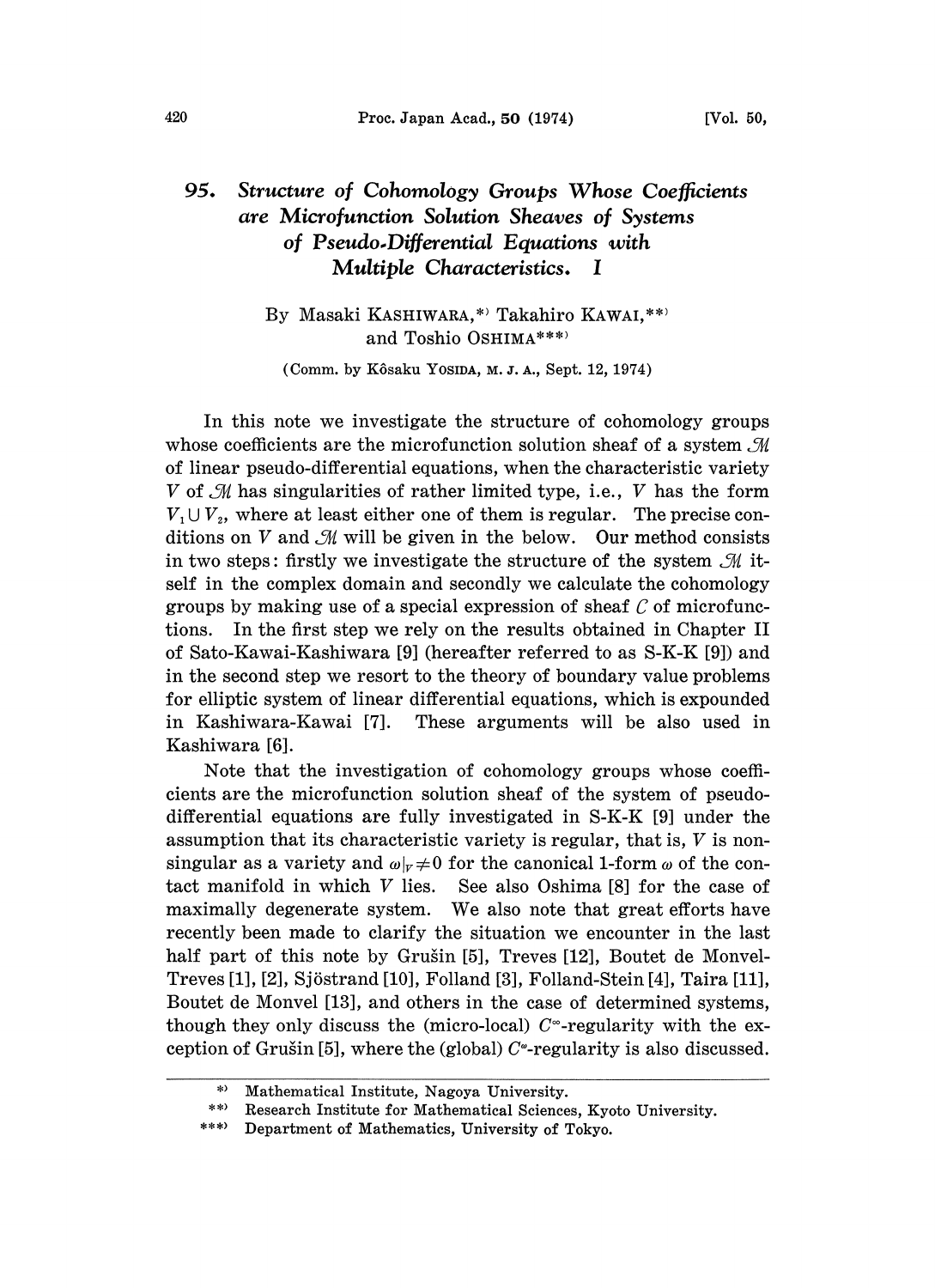## Structure of Cohomology Groups Whose Coefficients 95. are Microfunction Solution Sheaves of Systems of Pseudo.Differential Equations with Multiple Characteristics. I

## By Masaki KASHIWARA,\*' Takahiro KAWAI,\*\*' and Toshio 0SHIMA\*\*\*)

(Comm. by Kôsaku Yosina, M. J. A., Sept. 12, 1974)

In this note we investigate the structure of cohomology groups whose coefficients are the microfunction solution sheaf of a system  $\mathcal M$ of linear pseudo-differential equations, when the characteristic variety  $V$  of  $\mathcal M$  has singularities of rather limited type, i.e.,  $V$  has the form  $V_1 \cup V_2$ , where at least either one of them is regular. The precise conditions on V and  $\mathcal{M}$  will be given in the below. Our method consists in two steps: firstly we investigate the structure of the system  $\mathcal{M}$  itself in the complex domain and secondly we calculate the cohomology groups by making use of a special expression of sheaf  $C$  of microfunctions. In the first step we rely on the results obtained in Chapter II of Sato-Kawai-Kashiwara [9] (hereafter referred to as S-K-K [9]) and in the second step we resort to the theory of boundary value problems for elliptic system of linear differential equations, which is expounded in Kashiwara-Kawai [7]. These arguments will be also used in Kashiwara [6].

Note that the investigation of cohomology groups whose coefficients are the microfunction solution sheaf of the system of pseudodifferential equations are fully investigated in S-K-K [9] under the assumption that its characteristic variety is regular, that is, V is nonsingular as a variety and  $\omega|_{v} \neq 0$  for the canonical 1-form  $\omega$  of the contact manifold in which V lies. See also Oshima [8] for the case of See also Oshima [8] for the case of maximally degenerate system. We also note that great efforts have recently been made to clarify the situation we encounter in the last half part of this note by Grušin [5], Treves [12], Boutet de Monvel-Treves [1], [2], Sjöstrand [10], Folland [3], Folland-Stein [4], Taira [11], Boutet de Monvel [13], and others in the case of determined systems, though they only discuss the (micro-local)  $C^{\infty}$ -regularity with the exception of Grušin [5], where the (global)  $C^{\circ}$ -regularity is also discussed.

<sup>,)</sup> Mathematical Institute, Nagoya University.

<sup>\*\*)</sup> Research Institute for Mathematical Sciences, Kyoto University.

 $***$ Department of Mathematics, University of Tokyo.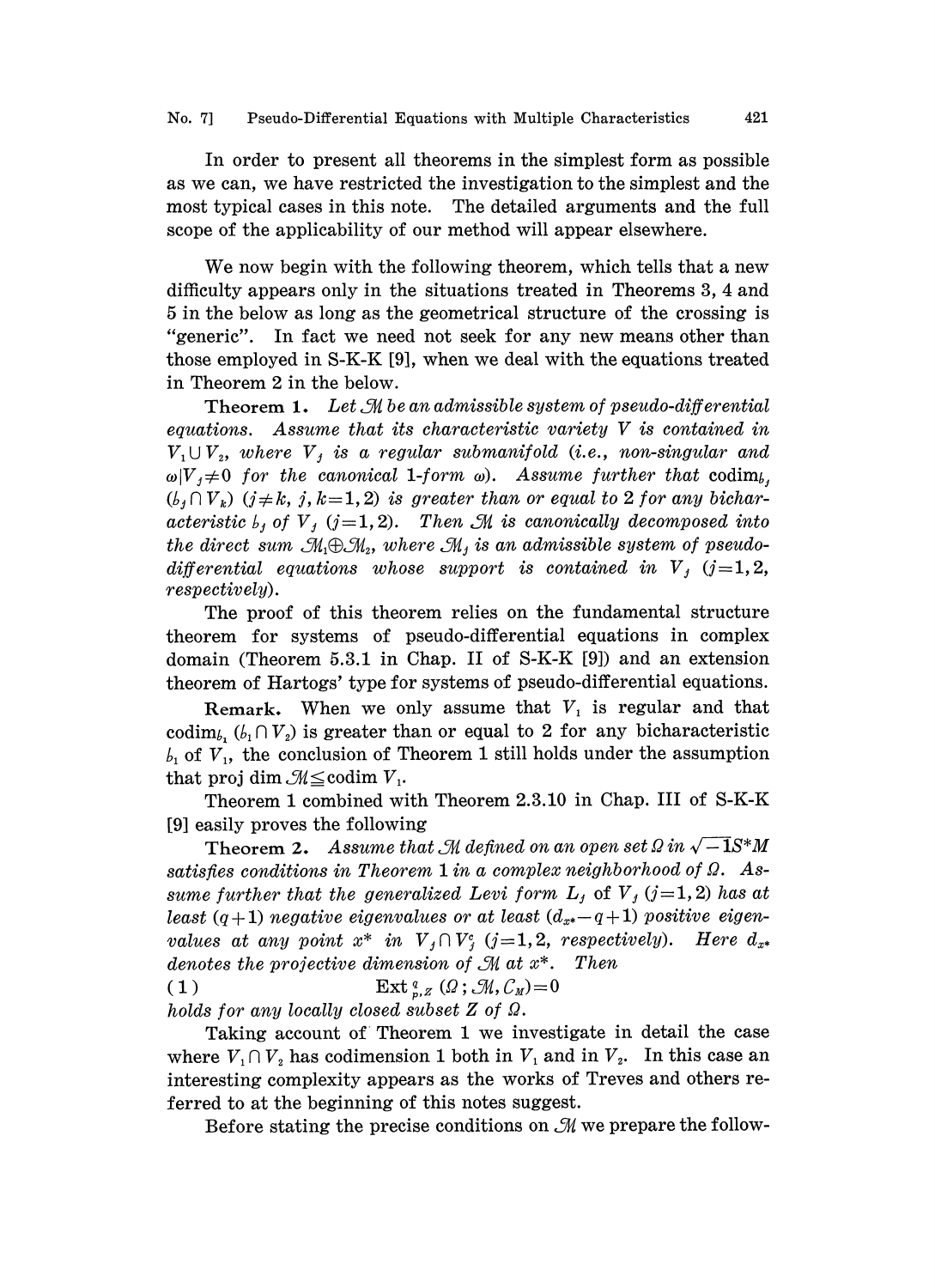In order to present all theorems in the simplest form as possible as we can, we have restricted the investigation to the simplest and the most typical cases in this note. The detailed arguments and the full scope of the applicability of our method will appear elsewhere.

We now begin with the following theorem, which tells that <sup>a</sup> new difficulty appears only in the situations treated in Theorems 3, 4 and 5 in the below as long as the geometrical structure of the crossing is "generic". In fact we need not seek for any new means other than those employed in S-K-K [9], whea we deal with the equations treated in Theorem 2 in the below.

**Theorem 1.** Let  $\mathcal{M}$  be an admissible system of pseudo-differential equations. Assume that its characteristic variety V is contained in  $V_1 \cup V_2$ , where  $V_j$  is a regular submanifold (i.e., non-singular and  $\omega|V_1\neq 0$  for the canonical 1-form  $\omega$ ). Assume further that codim<sub>b</sub>,  $(b_i \cap V_k)$   $(j \neq k, j, k = 1, 2)$  is greater than or equal to 2 for any bicharacteristic  $b_i$  of  $V_i$  (j=1,2). Then  $\mathcal M$  is canonically decomposed into the direct sum  $\mathcal{M}_1 \oplus \mathcal{M}_2$ , where  $\mathcal{M}_j$  is an admissible system of pseudodifferential equations whose support is contained in  $V_j$  (j=1,2, respectively).

The proof of this theorem relies on the fundamental structure theorem for systems of pseudo-differential equations in complex domain (Theorem 5.3.1 in Chap. II of S-K-K [9]) and an extension theorem of Hartogs' type for systems of pseudo-differential equations.

Remark. When we only assume that  $V_1$  is regular and that codim<sub>b</sub>,  $(b_1 \cap V_2)$  is greater than or equal to 2 for any bicharacteristic  $b_1$  of  $V_1$ , the conclusion of Theorem 1 still holds under the assumption that proj dim  $\mathcal{M} \leq$ codim  $V_1$ .

Theorem 1 combined with Theorem 2.3.10 in Chap. III of S-K-K [9] easily proves the following

Theorem 2. Assume that M defined on an open set  $\Omega$  in  $\sqrt{-1}S^*M$ satisfies conditions in Theorem 1 in a complex neighborhood of  $\Omega$ . Assume further that the generalized Levi form  $L_j$  of  $V_j$  (j=1,2) has at least  $(q+1)$  negative eigenvalues or at least  $(d_{x^*}-q+1)$  positive eigenvalues at any point  $x^*$  in  $V_j \cap V_j^c$  (j=1,2, respectively). Here  $d_{x^*}$ denotes the projective dimension of  $\mathcal M$  at  $x^*$ . Then

( 1 )  $\operatorname{Ext}_{p,Z}^q(\Omega; \mathcal{M}, \mathcal{C}_M) = 0$ holds for any locally closed subset  $Z$  of  $\Omega$ .

Taking account of Theorem <sup>1</sup> we investigate in detail the case where  $V_1 \cap V_2$  has codimension 1 both in  $V_1$  and in  $V_2$ . In this case an interesting complexity appears as the works of Treves and others referred to at the beginning of this notes suggest.

Before stating the precise conditions on  $\mathcal M$  we prepare the follow-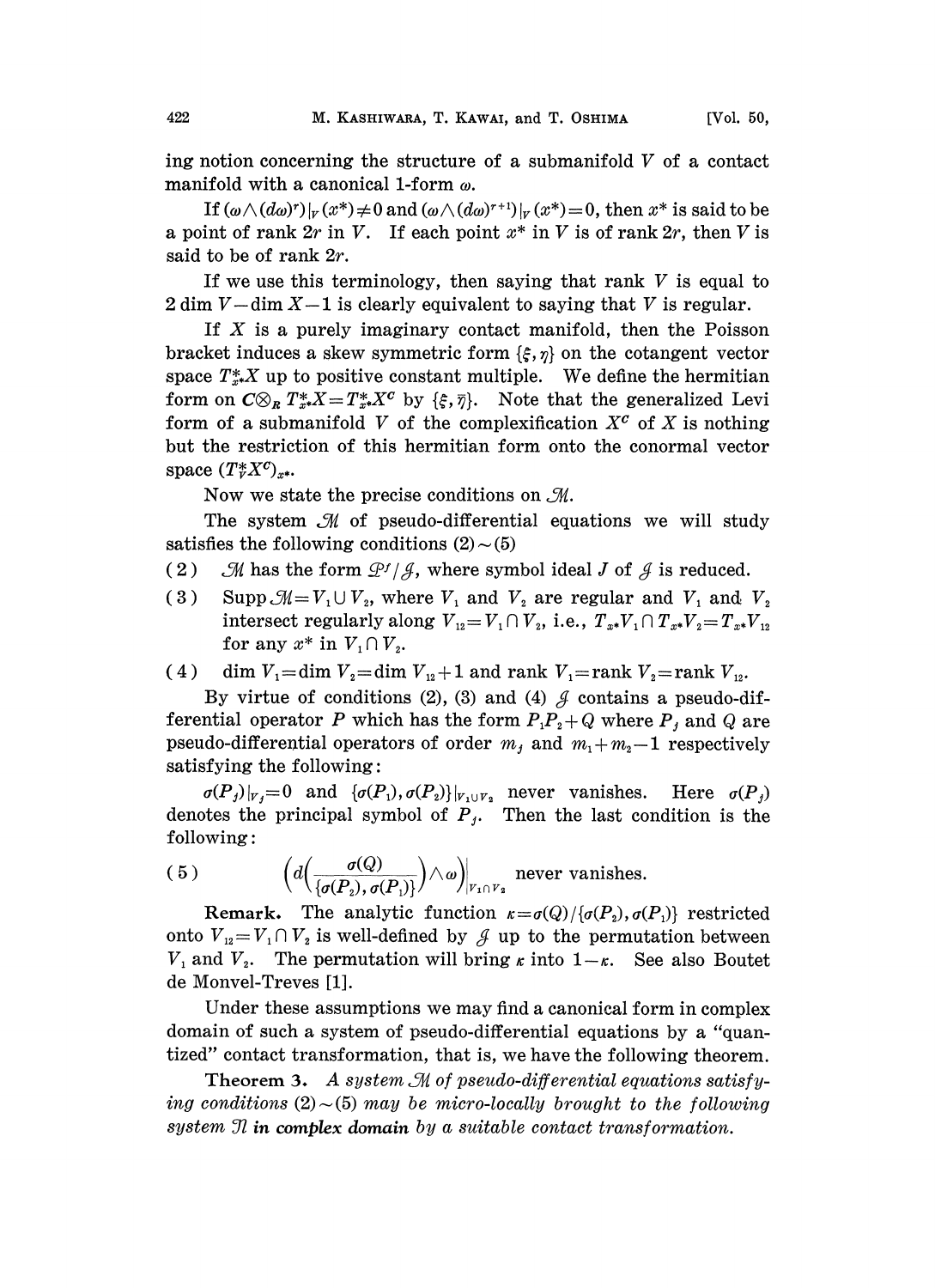ing notion concerning the structure of a submanifold  $V$  of a contact manifold with a canonical 1-form  $\omega$ .

If  $(\omega \wedge (d\omega)^r)|_V(x^*) \neq 0$  and  $(\omega \wedge (d\omega)^{r+1})|_V(x^*) = 0$ , then  $x^*$  is said to be a point of rank  $2r$  in V. If each point  $x^*$  in V is of rank  $2r$ , then V is said to be of rank 2r.

If we use this terminology, then saying that rank  $V$  is equal to  $2 \dim V - \dim X - 1$  is clearly equivalent to saying that V is regular.

If  $X$  is a purely imaginary contact manifold, then the Poisson bracket induces a skew symmetric form  $\{\xi, \eta\}$  on the cotangent vector space  $T^*_{x^*}X$  up to positive constant multiple. We define the hermitian form on  $C\otimes_R T^*_{x*}X = T^*_{x*}X^c$  by  $\{\xi, \bar{\eta}\}.$  Note that the generalized Levi form of a submanifold V of the complexification  $X^c$  of X is nothing but the restriction of this hermitian form onto the conormal vector space  $(T^*_V X^c)_{X^*}.$ 

Now we state the precise conditions on  $\mathcal{M}$ .

The system  $M$  of pseudo-differential equations we will study satisfies the following conditions  $(2) \sim (5)$ 

- (2)  $\mathcal{M}$  has the form  $\mathcal{P}'/\mathcal{J}$ , where symbol ideal J of  $\mathcal{J}$  is reduced.
- (3) Supp  $\mathcal{M} = V_1 \cup V_2$ , where  $V_1$  and  $V_2$  are regular and  $V_1$  and  $V_2$ intersect regularly along  $V_{12}= V_1 \cap V_2$ , i.e.,  $T_{x*}V_1 \cap T_{x*}V_2 = T_{x*}V_{12}$ for any  $x^*$  in  $V_1 \cap V_2$ .

(4) dim  $V_1$ =dim  $V_2$ =dim  $V_{12}$ +1 and rank  $V_1$ =rank  $V_2$ =rank  $V_{12}$ .

By virtue of conditions (2), (3) and (4)  $\beta$  contains a pseudo-differential operator P which has the form  $P_1P_2 + Q$  where  $P_j$  and Q are pseudo-differential operators of order  $m_j$  and  $m_1 + m_2 - 1$  respectively satisfying the following:

 $\sigma(P_j)|_{V_j}=0$  and  $\{\sigma(P_1),\sigma(P_2)\}|_{V_1\cup V_2}$  never vanishes. Here  $\sigma(P_j)$ denotes the principal symbol of  $P_i$ . Then the last condition is the following:

(5) 
$$
\left(d\left(\frac{\sigma(Q)}{\{\sigma(P_2),\sigma(P_1)\}}\right)\wedge\omega\right)_{|_{V_1\cap V_2}}
$$
 never vanishes.

Remark. The analytic function  $\kappa = \sigma(Q)/{\{\sigma(P_2), \sigma(P_1)\}}$  restricted onto  $V_{12} = V_1 \cap V_2$  is well-defined by  $\mathcal J$  up to the permutation between  $V_1$  and  $V_2$ . The permutation will bring  $\kappa$  into  $1-\kappa$ . See also Boutet de Monvel-Treves [1].

Under these assumptions we may find a canonical form in complex domain of such a system of pseudo-differential equations by a "quantized" contact transformation, that is, we have the following theorem.

Theorem 3. A system  $\mathcal M$  of pseudo-differential equations satisfying conditions (2) $\sim$ (5) may be micro-locally brought to the following system  $\mathfrak N$  in complex domain by a suitable contact transformation.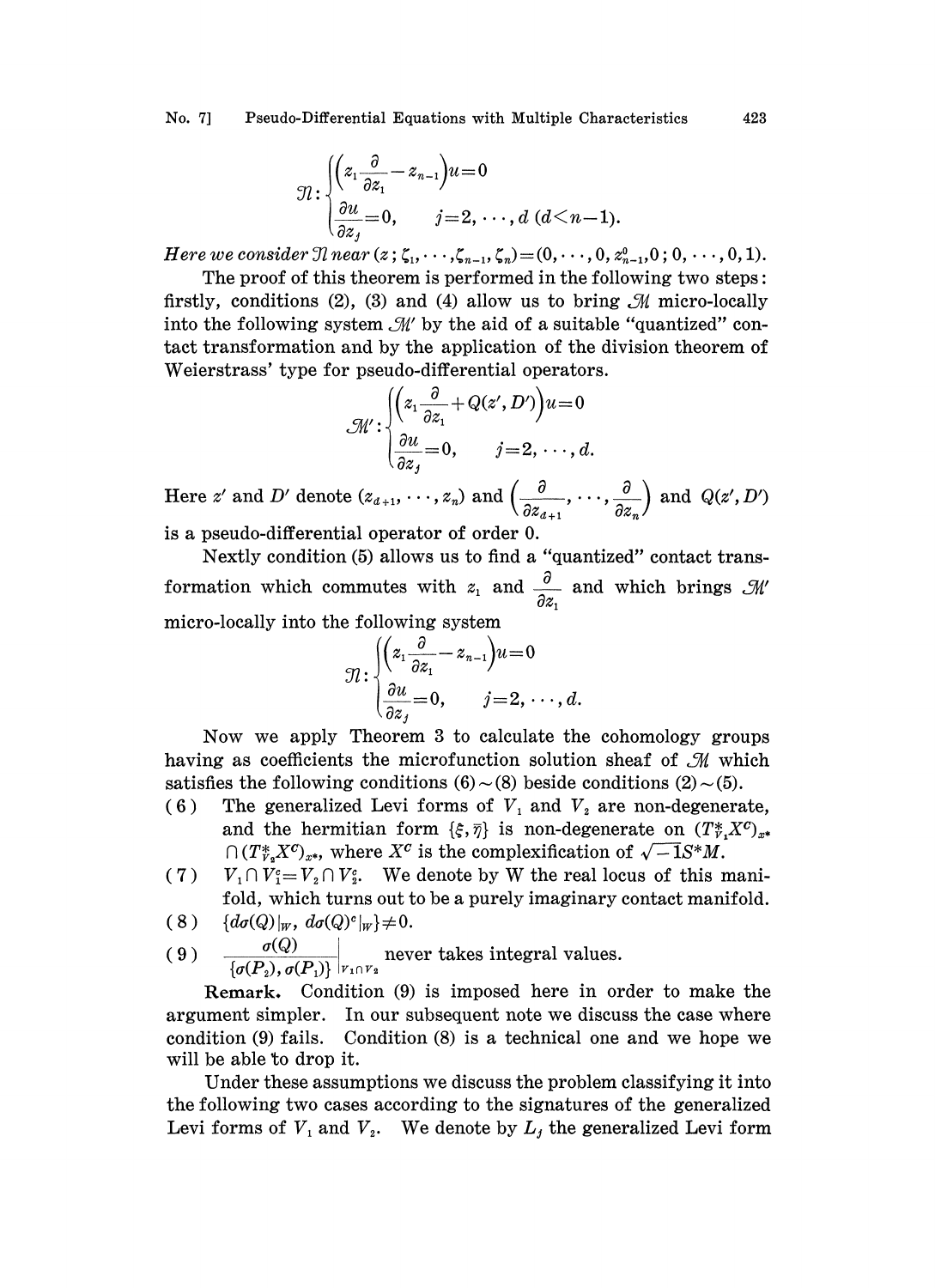No. 7] Pseudo-Differential Equations with Multiple Characteristics 423

$$
\mathfrak{N}\!:\!\left\{\hspace{-0.2cm}\begin{array}{l} \left(\hspace{-0.2cm}z_1\frac{\partial}{\partial z_1}\hspace{-0.2cm}-\hspace{-0.2cm}z_{n-1}\hspace{-0.2cm}\right)\hspace{-0.2cm}u\hspace{-0.2cm}=\hspace{-0.2cm}0 \\ \frac{\partial u}{\partial z_j}\hspace{-0.2cm}=\hspace{-0.2cm}0, \qquad \hspace{-0.2cm}j\hspace{-0.2cm}=\hspace{-0.2cm}2,\,\cdots,d\,\left(d\hspace{-0.2cm}<\hspace{-0.2cm}n\hspace{-0.2cm}-\hspace{-0.2cm}1\hspace{-0.2cm}\right)\hspace{-0.2cm}.\end{array}\right.
$$

Here we consider  $\mathcal{I}$  near  $(z; \zeta_1, \dots, \zeta_{n-1}, \zeta_n)=(0, \dots, 0, z_{n-1}^0, 0, 0, \dots, 0, 1).$ 

The proof of this theorem is performed in the following two steps: firstly, conditions (2), (3) and (4) allow us to bring  $\mathcal M$  micro-locally into the following system  $\mathcal{M}'$  by the aid of a suitable "quantized" contact transformation and by the application of the division theorem of into the following system  $\mathcal{M}'$  by the aid of a suitable "quantized" con-Weierstrass' type for pseudo-differential operators.

$$
\mathcal{M}'\colon\begin{cases}\left(z,\frac{\partial}{\partial z_1}+Q(z',D')\right)u=0\\ \frac{\partial u}{\partial z_j}=0,\qquad j=2,\,\cdots,d.\end{cases}
$$

Here z' and D' denote  $(z_{d+1}, \dots, z_n)$  and  $\left(\frac{\partial}{\partial z_{d+1}}, \dots, \frac{\partial}{\partial z_n}\right)$  and  $Q(z', D')$ 

is a pseudo-differential operator of order 0.

Nextly condition (5) allows us to find a "quantized" contact transformation which commutes with  $z_1$  and  $\frac{\partial}{\partial z_1}$  and which brings  $\mathcal{M}'$ micro-locally into the following system

$$
\mathcal{\mathcal{\mathcal{U}}\colon }\begin{cases}(z_1\frac{\partial}{\partial z_1}-z_{n-1}\big)u\!=\!0\\ \frac{\partial u}{\partial z_1}\!=\!0,\qquad j\!=\!2,\,\cdots,d.\end{cases}
$$

Now we apply Theorem 3 to calculate the cohomology groups having as coefficients the microfunction solution sheaf of  $\mathcal{M}$  which satisfies the following conditions  $(6) \sim (8)$  beside conditions  $(2) \sim (5)$ .

- (6) The generalized Levi forms of  $V_1$  and  $V_2$  are non-degenerate, and the hermitian form  $\{\xi, \overline{\eta}\}$  is non-degenerate on  $(T_{\nu}^*, X^c)_{x^*}$  $(T^*_{r_*}X^c)_{x^*}$ , where  $X^c$  is the complexification of  $\sqrt{-1}S^*M$ .
- (7)  $V_1 \cap V_2^c = V_2 \cap V_2^c$ . We denote by W the real locus of this mani-<br>fold, which turns out to be a purely imaginary contact manifold.<br>(8)  $\{d\sigma(Q)|_W, d\sigma(Q)^c|_W\} \neq 0$ . fold, which turns out to be a purely imaginary contact manifold.
- 
- ( 9 )  $\sigma(Q)$  never takes integral values.  $\{\sigma({\bm P}_2),\sigma({\bm P}_1)\}$

Remark. Condition (9) is imposed here in order to make the argument simpler. In our subsequent note we discuss the case where condition (9) fails. Condition (8) is a eehnieal one and we hope we will be able to drop it.

Under these assumptions we discuss the problem classifying it into the following two cases according to the signatures of the generalized Levi forms of  $V_1$  and  $V_2$ . We denote by  $L_j$  the generalized Levi form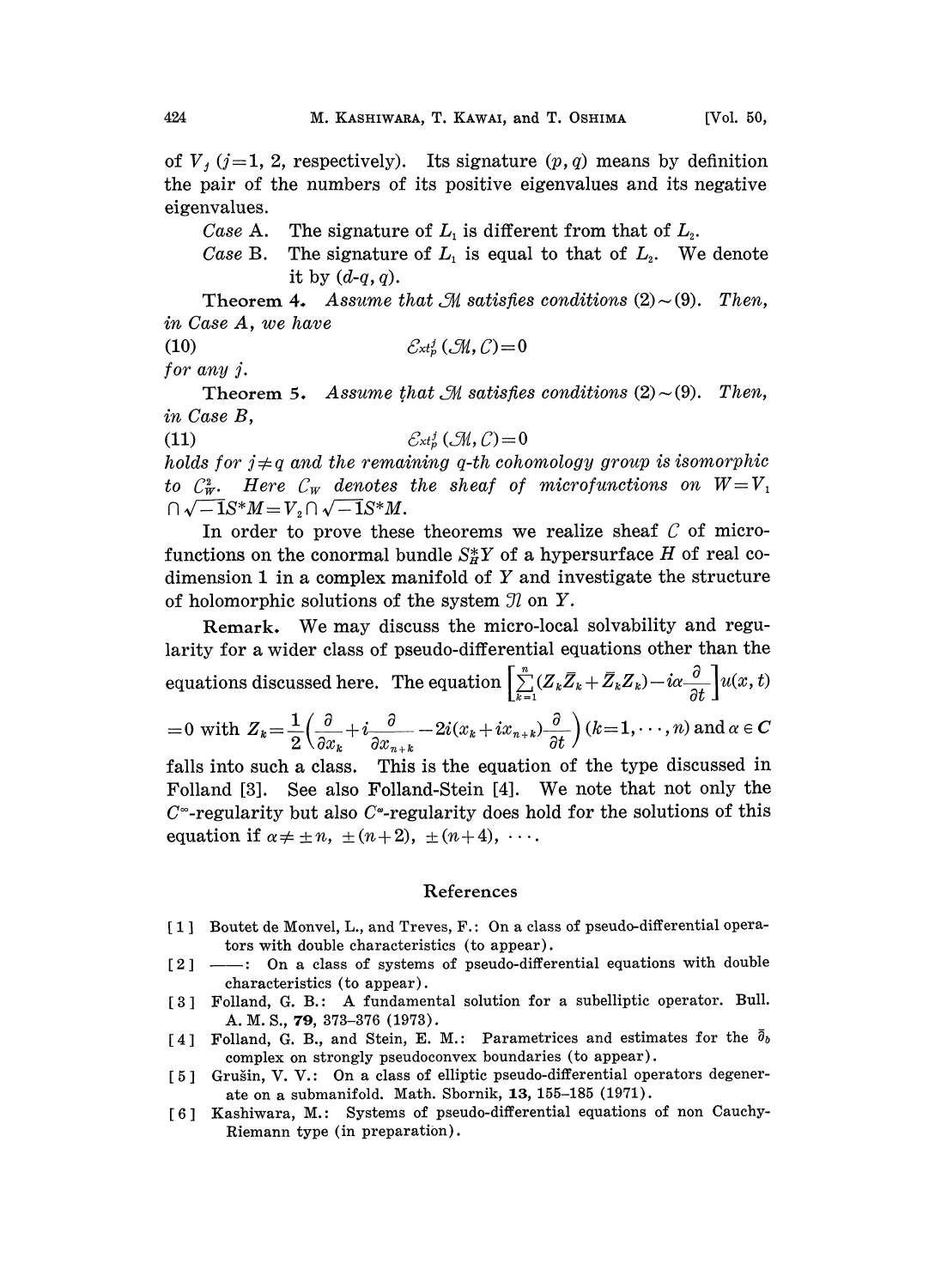of  $V_i$  (j=1, 2, respectively). Its signature  $(p, q)$  means by definition the pair of the numbers of its positive eigenvalues and its negative eigenvalues.

- Case A. The signature of  $L_1$  is different from that of  $L_2$ .<br>Case B. The signature of  $L_1$  is equal to that of  $L_2$ . We
- The signature of  $L_1$  is equal to that of  $L_2$ . We denote it by  $(d-q, q)$ .

Theorem 4. Assume that  $\mathcal{M}$  satisfies conditions (2) $\sim$ (9). Then, in Case A, we have

$$
(10) \t\t\t\mathcal{E}_{xt_p^j}(\mathcal{M}, \mathcal{C}) = 0
$$

for any  $j$ .

Theorem 5. Assume that  $\mathcal M$  satisfies conditions (2)  $\sim$  (9). Then, in Case B,

(11)  $\mathcal{E}_{xt_0}^j(\mathcal{M}, \mathcal{C}) = 0$ 

holds for  $j \neq q$  and the remaining q-th cohomology group is isomorphic to  $C_W^2$ . Here  $C_W$  denotes the sheaf of microfunctions on  $W=V_1$  $\bigcap \sqrt{-1}S^*M = V_2 \bigcap \sqrt{-1}S^*M.$ 

In order to prove these theorems we realize sheaf  $\mathcal C$  of microfunctions on the conormal bundle  $S_H^*Y$  of a hypersurface H of real codimension 1 in a complex manifold of  $Y$  and investigate the structure of holomorphic solutions of the system  $\mathfrak{N}$  on Y.

Remark. We may discuss the micro-local solvability and regularity for a wider class of pseudo-differential equations other than the equations discussed here. The equation  $\left[\sum_{k=1}^{n}(Z_k\overline{Z}_k+\overline{Z}_k\overline{Z}_k)-i\alpha\frac{\partial}{\partial t}\right]u(x, t)$ =0 with  $Z_k = \frac{1}{2} \left( \frac{\partial}{\partial x_k} + i \frac{\partial}{\partial x_{n+k}} - 2i(x_k + ix_{n+k}) \frac{\partial}{\partial t} \right) (k=1,\dots,n)$  and  $\alpha \in \mathbb{C}$ falls into such a class. This is the equation of the type discussed in Folland [3]. See also Folland-Stein [4]. We note that not only the

 $C^{\infty}$ -regularity but also  $C^{\infty}$ -regularity does hold for the solutions of this equation if  $\alpha \neq \pm n, \pm (n + 2), \pm (n + 4), \cdots$ .

## References

- [1] Boutet de Monvel, L., and Treves, F.: On a class of pseudo-differential operators with double characteristics (to appear).
- [2] ----: On a class of systems of pseudo-differential equations with double characteristics (to appear).
- [3] Folland, G. B.: A fundamental solution for a subelliptic operator. Bull. A. M. S., 79, 373-376 (1973).
- [4] Folland, G. B., and Stein, E. M.: Parametrices and estimates for the  $\bar{\partial}_{b}$ complex on strongly pseudoconvex boundaries (to appear).
- [5] Grušin, V. V.: On a class of elliptic pseudo-differential operators degenerate on a submanifold. Math. Sbornik, 13, 155-185 (1971).
- [6] Kashiwara, M.: Systems of pseudo-differential equations of non Cauchy-Riemann type (in preparation).